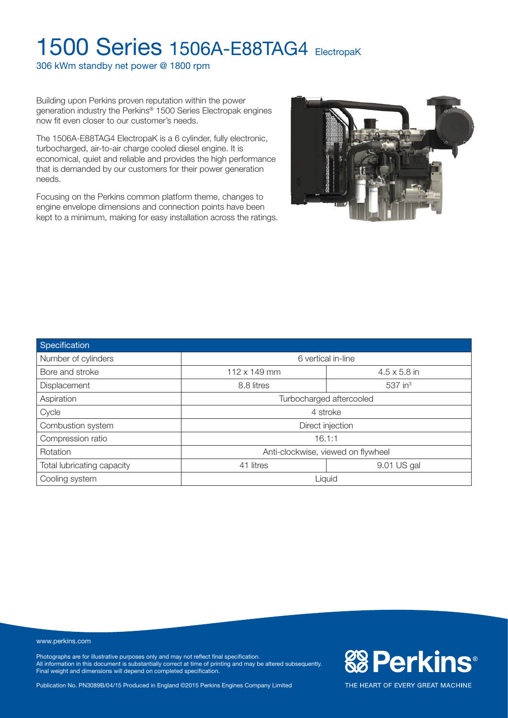306 kWm standby net power @ 1800 rpm

Building upon Perkins proven reputation within the power generation industry the Perkins® 1500 Series Electropak engines now fit even closer to our customer's needs.

The 1506A-E88TAG4 ElectropaK is a 6 cylinder, fully electronic, turbocharged, air-to-air charge cooled diesel engine. It is economical, quiet and reliable and provides the high performance that is demanded by our customers for their power generation needs.

Focusing on the Perkins common platform theme, changes to engine envelope dimensions and connection points have been kept to a minimum, making for easy installation across the ratings.



| Specification              |                                    |                       |  |  |  |
|----------------------------|------------------------------------|-----------------------|--|--|--|
| Number of cylinders        | 6 vertical in-line                 |                       |  |  |  |
| Bore and stroke            | 112 x 149 mm                       | $4.5 \times 5.8$ in   |  |  |  |
| Displacement               | 8.8 litres                         | $537$ in <sup>3</sup> |  |  |  |
| Aspiration                 | Turbocharged aftercooled           |                       |  |  |  |
| Cycle                      | 4 stroke                           |                       |  |  |  |
| Combustion system          | Direct injection                   |                       |  |  |  |
| Compression ratio          | 16.1:1                             |                       |  |  |  |
| Rotation                   | Anti-clockwise, viewed on flywheel |                       |  |  |  |
| Total lubricating capacity | 41 litres                          | 9.01 US gal           |  |  |  |
| Cooling system             | Liquid                             |                       |  |  |  |

www.perkins.com

Photographs are for illustrative purposes only and may not reflect final specification. All information in this document is substantially correct at time of printing and may be altered subsequently. Final weight and dimensions will depend on completed specification.

Publication No. PN3089B/04/15 Produced in England ©2015 Perkins Engines Company Limited

**&B Perkins®** THE HEART OF EVERY GREAT MACHINE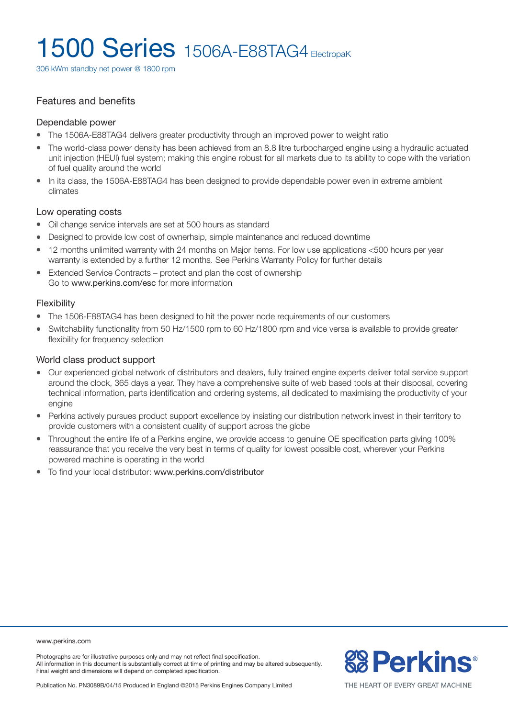306 kWm standby net power @ 1800 rpm

#### Features and benefits

#### Dependable power

- The 1506A-E88TAG4 delivers greater productivity through an improved power to weight ratio
- The world-class power density has been achieved from an 8.8 litre turbocharged engine using a hydraulic actuated unit injection (HEUI) fuel system; making this engine robust for all markets due to its ability to cope with the variation of fuel quality around the world
- In its class, the 1506A-E88TAG4 has been designed to provide dependable power even in extreme ambient climates

#### Low operating costs

- Oil change service intervals are set at 500 hours as standard
- Designed to provide low cost of ownerhsip, simple maintenance and reduced downtime
- 12 months unlimited warranty with 24 months on Major items. For low use applications <500 hours per year warranty is extended by a further 12 months. See Perkins Warranty Policy for further details
- Extended Service Contracts protect and plan the cost of ownership Go to www.perkins.com/esc for more information

#### Flexibility

- The 1506-E88TAG4 has been designed to hit the power node requirements of our customers
- Switchability functionality from 50 Hz/1500 rpm to 60 Hz/1800 rpm and vice versa is available to provide greater flexibility for frequency selection

#### World class product support

- <sup>l</sup> Our experienced global network of distributors and dealers, fully trained engine experts deliver total service support around the clock, 365 days a year. They have a comprehensive suite of web based tools at their disposal, covering technical information, parts identification and ordering systems, all dedicated to maximising the productivity of your engine
- Perkins actively pursues product support excellence by insisting our distribution network invest in their territory to provide customers with a consistent quality of support across the globe
- <sup>l</sup> Throughout the entire life of a Perkins engine, we provide access to genuine OE specification parts giving 100% reassurance that you receive the very best in terms of quality for lowest possible cost, wherever your Perkins powered machine is operating in the world
- To find your local distributor: www.perkins.com/distributor

www.perkins.com

Photographs are for illustrative purposes only and may not reflect final specification. All information in this document is substantially correct at time of printing and may be altered subsequently. Final weight and dimensions will depend on completed specification.

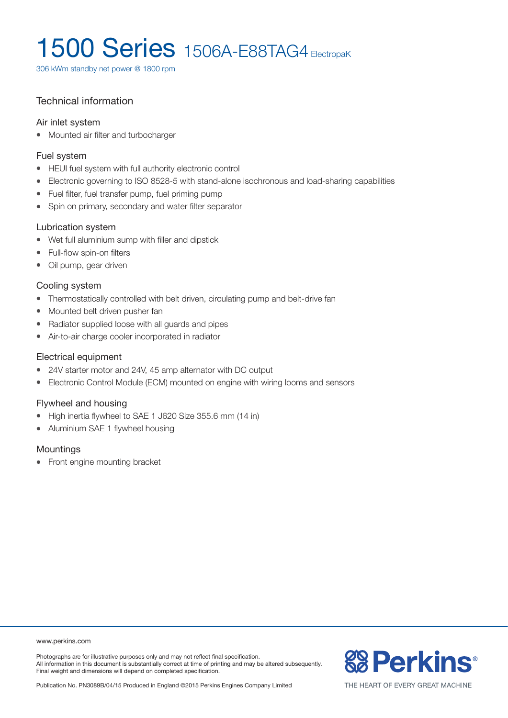306 kWm standby net power @ 1800 rpm

### Technical information

#### Air inlet system

• Mounted air filter and turbocharger

#### Fuel system

- HEUI fuel system with full authority electronic control
- Electronic governing to ISO 8528-5 with stand-alone isochronous and load-sharing capabilities
- Fuel filter, fuel transfer pump, fuel priming pump
- Spin on primary, secondary and water filter separator

#### Lubrication system

- Wet full aluminium sump with filler and dipstick
- Full-flow spin-on filters
- Oil pump, gear driven

#### Cooling system

- Thermostatically controlled with belt driven, circulating pump and belt-drive fan
- Mounted belt driven pusher fan
- Radiator supplied loose with all guards and pipes
- Air-to-air charge cooler incorporated in radiator

#### Electrical equipment

- 24V starter motor and 24V, 45 amp alternator with DC output
- Electronic Control Module (ECM) mounted on engine with wiring looms and sensors

#### Flywheel and housing

- High inertia flywheel to SAE 1 J620 Size 355.6 mm (14 in)
- Aluminium SAE 1 flywheel housing

#### **Mountings**

• Front engine mounting bracket

#### www.perkins.com

Photographs are for illustrative purposes only and may not reflect final specification. All information in this document is substantially correct at time of printing and may be altered subsequently. Final weight and dimensions will depend on completed specification.

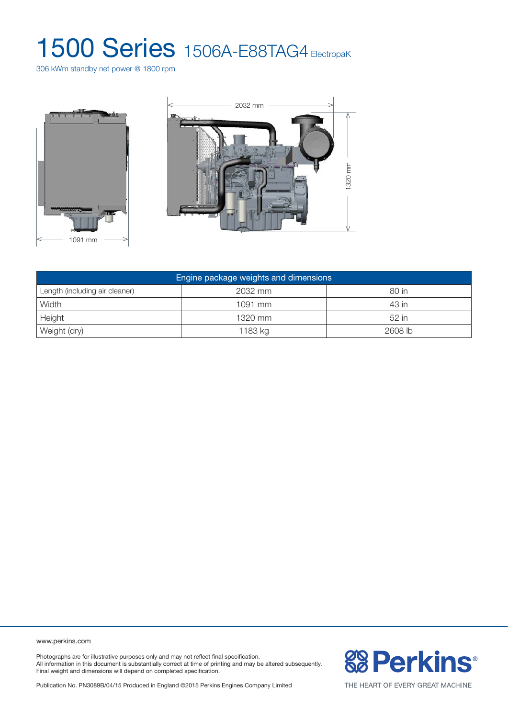306 kWm standby net power @ 1800 rpm





| Engine package weights and dimensions |           |         |  |  |  |
|---------------------------------------|-----------|---------|--|--|--|
| Length (including air cleaner)        | 2032 mm   | 80 in   |  |  |  |
| Width                                 | $1091$ mm | 43 in   |  |  |  |
| Height                                | 1320 mm   | 52 in   |  |  |  |
| Weight (dry)                          | 1183 kg   | 2608 lb |  |  |  |

www.perkins.com

Photographs are for illustrative purposes only and may not reflect final specification. All information in this document is substantially correct at time of printing and may be altered subsequently. Final weight and dimensions will depend on completed specification.

**& Perkins®** 

Publication No. PN3089B/04/15 Produced in England ©2015 Perkins Engines Company Limited